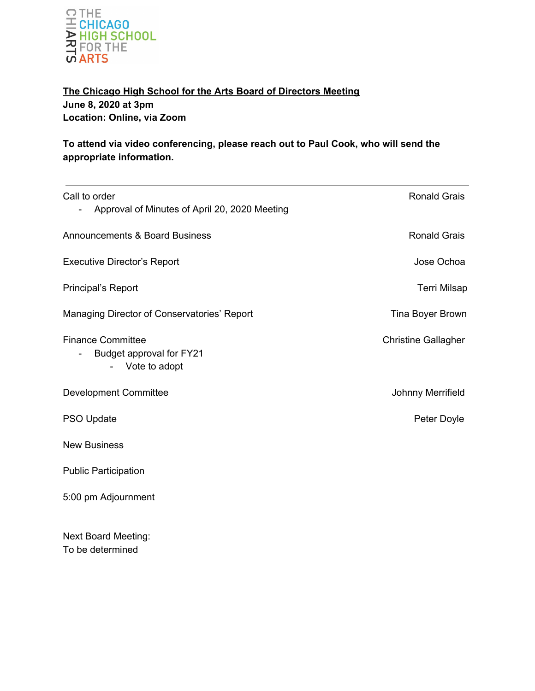

**The Chicago High School for the Arts Board of Directors Meeting June 8, 2020 at 3pm Location: Online, via Zoom**

**To attend via video conferencing, please reach out to Paul Cook, who will send the appropriate information.**

| Call to order                                                         | <b>Ronald Grais</b>        |
|-----------------------------------------------------------------------|----------------------------|
| Approval of Minutes of April 20, 2020 Meeting                         |                            |
| <b>Announcements &amp; Board Business</b>                             | <b>Ronald Grais</b>        |
| <b>Executive Director's Report</b>                                    | Jose Ochoa                 |
| Principal's Report                                                    | <b>Terri Milsap</b>        |
| Managing Director of Conservatories' Report                           | Tina Boyer Brown           |
| <b>Finance Committee</b><br>Budget approval for FY21<br>Vote to adopt | <b>Christine Gallagher</b> |
| <b>Development Committee</b>                                          | Johnny Merrifield          |
| PSO Update                                                            | Peter Doyle                |
| <b>New Business</b>                                                   |                            |
| <b>Public Participation</b>                                           |                            |
| 5:00 pm Adjournment                                                   |                            |
| <b>Next Board Meeting:</b>                                            |                            |

To be determined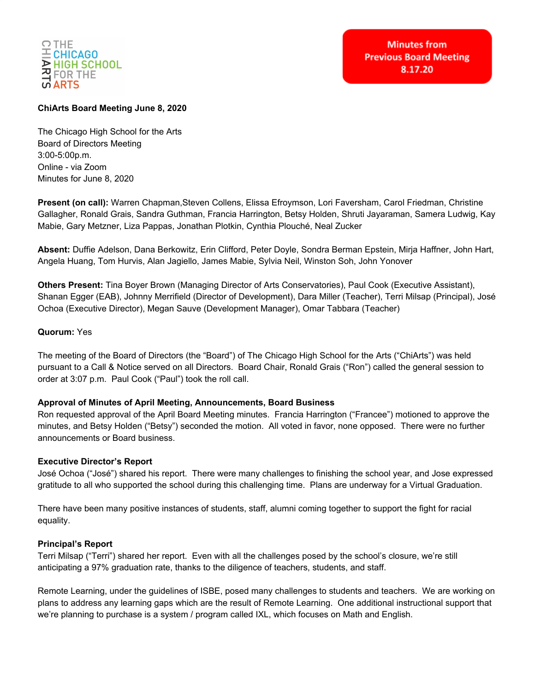

# **ChiArts Board Meeting June 8, 2020**

The Chicago High School for the Arts Board of Directors Meeting 3:00-5:00p.m. Online - via Zoom Minutes for June 8, 2020

**Present (on call):** Warren Chapman,Steven Collens, Elissa Efroymson, Lori Faversham, Carol Friedman, Christine Gallagher, Ronald Grais, Sandra Guthman, Francia Harrington, Betsy Holden, Shruti Jayaraman, Samera Ludwig, Kay Mabie, Gary Metzner, Liza Pappas, Jonathan Plotkin, Cynthia Plouché, Neal Zucker

**Absent:** Duffie Adelson, Dana Berkowitz, Erin Clifford, Peter Doyle, Sondra Berman Epstein, Mirja Haffner, John Hart, Angela Huang, Tom Hurvis, Alan Jagiello, James Mabie, Sylvia Neil, Winston Soh, John Yonover

**Others Present:** Tina Boyer Brown (Managing Director of Arts Conservatories), Paul Cook (Executive Assistant), Shanan Egger (EAB), Johnny Merrifield (Director of Development), Dara Miller (Teacher), Terri Milsap (Principal), José Ochoa (Executive Director), Megan Sauve (Development Manager), Omar Tabbara (Teacher)

## **Quorum:** Yes

The meeting of the Board of Directors (the "Board") of The Chicago High School for the Arts ("ChiArts") was held pursuant to a Call & Notice served on all Directors. Board Chair, Ronald Grais ("Ron") called the general session to order at 3:07 p.m. Paul Cook ("Paul") took the roll call.

## **Approval of Minutes of April Meeting, Announcements, Board Business**

Ron requested approval of the April Board Meeting minutes. Francia Harrington ("Francee") motioned to approve the minutes, and Betsy Holden ("Betsy") seconded the motion. All voted in favor, none opposed. There were no further announcements or Board business.

## **Executive Director's Report**

José Ochoa ("José") shared his report. There were many challenges to finishing the school year, and Jose expressed gratitude to all who supported the school during this challenging time. Plans are underway for a Virtual Graduation.

There have been many positive instances of students, staff, alumni coming together to support the fight for racial equality.

## **Principal's Report**

Terri Milsap ("Terri") shared her report. Even with all the challenges posed by the school's closure, we're still anticipating a 97% graduation rate, thanks to the diligence of teachers, students, and staff.

Remote Learning, under the guidelines of ISBE, posed many challenges to students and teachers. We are working on plans to address any learning gaps which are the result of Remote Learning. One additional instructional support that we're planning to purchase is a system / program called IXL, which focuses on Math and English.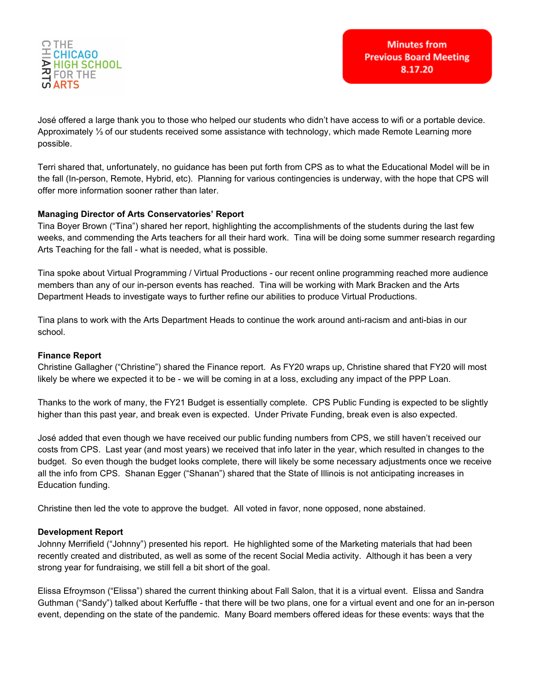

José offered a large thank you to those who helped our students who didn't have access to wifi or a portable device. Approximately ⅓ of our students received some assistance with technology, which made Remote Learning more possible.

Terri shared that, unfortunately, no guidance has been put forth from CPS as to what the Educational Model will be in the fall (In-person, Remote, Hybrid, etc). Planning for various contingencies is underway, with the hope that CPS will offer more information sooner rather than later.

## **Managing Director of Arts Conservatories' Report**

Tina Boyer Brown ("Tina") shared her report, highlighting the accomplishments of the students during the last few weeks, and commending the Arts teachers for all their hard work. Tina will be doing some summer research regarding Arts Teaching for the fall - what is needed, what is possible.

Tina spoke about Virtual Programming / Virtual Productions - our recent online programming reached more audience members than any of our in-person events has reached. Tina will be working with Mark Bracken and the Arts Department Heads to investigate ways to further refine our abilities to produce Virtual Productions.

Tina plans to work with the Arts Department Heads to continue the work around anti-racism and anti-bias in our school.

## **Finance Report**

Christine Gallagher ("Christine") shared the Finance report. As FY20 wraps up, Christine shared that FY20 will most likely be where we expected it to be - we will be coming in at a loss, excluding any impact of the PPP Loan.

Thanks to the work of many, the FY21 Budget is essentially complete. CPS Public Funding is expected to be slightly higher than this past year, and break even is expected. Under Private Funding, break even is also expected.

José added that even though we have received our public funding numbers from CPS, we still haven't received our costs from CPS. Last year (and most years) we received that info later in the year, which resulted in changes to the budget. So even though the budget looks complete, there will likely be some necessary adjustments once we receive all the info from CPS. Shanan Egger ("Shanan") shared that the State of Illinois is not anticipating increases in Education funding.

Christine then led the vote to approve the budget. All voted in favor, none opposed, none abstained.

## **Development Report**

Johnny Merrifield ("Johnny") presented his report. He highlighted some of the Marketing materials that had been recently created and distributed, as well as some of the recent Social Media activity. Although it has been a very strong year for fundraising, we still fell a bit short of the goal.

Elissa Efroymson ("Elissa") shared the current thinking about Fall Salon, that it is a virtual event. Elissa and Sandra Guthman ("Sandy") talked about Kerfuffle - that there will be two plans, one for a virtual event and one for an in-person event, depending on the state of the pandemic. Many Board members offered ideas for these events: ways that the